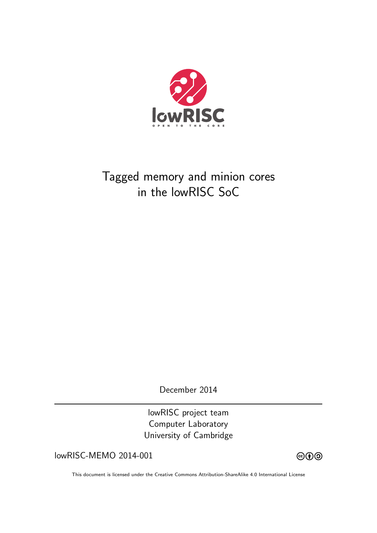

# Tagged memory and minion cores in the lowRISC SoC

December 2014

lowRISC project team Computer Laboratory University of Cambridge

 $lowRISC-MEMO 2014-001$   $@0@$ 



This document is licensed under the Creative Commons Attribution-ShareAlike 4.0 International License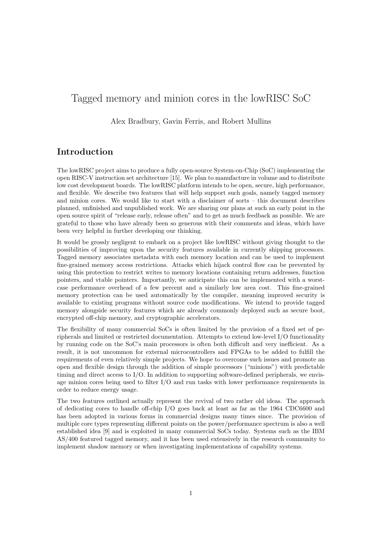# Tagged memory and minion cores in the lowRISC SoC

Alex Bradbury, Gavin Ferris, and Robert Mullins

## Introduction

The lowRISC project aims to produce a fully open-source System-on-Chip (SoC) implementing the open RISC-V instruction set architecture [15]. We plan to manufacture in volume and to distribute low cost development boards. The lowRISC platform intends to be open, secure, high performance, and flexible. We describe two features that will help support such goals, namely tagged memory and minion cores. We would like to start with a disclaimer of sorts – this document describes planned, unfinished and unpublished work. We are sharing our plans at such an early point in the open source spirit of "release early, release often" and to get as much feedback as possible. We are grateful to those who have already been so generous with their comments and ideas, which have been very helpful in further developing our thinking.

It would be grossly negligent to embark on a project like lowRISC without giving thought to the possibilities of improving upon the security features available in currently shipping processors. Tagged memory associates metadata with each memory location and can be used to implement fine-grained memory access restrictions. Attacks which hijack control flow can be prevented by using this protection to restrict writes to memory locations containing return addresses, function pointers, and vtable pointers. Importantly, we anticipate this can be implemented with a worstcase performance overhead of a few percent and a similarly low area cost. This fine-grained memory protection can be used automatically by the compiler, meaning improved security is available to existing programs without source code modifications. We intend to provide tagged memory alongside security features which are already commonly deployed such as secure boot, encrypted off-chip memory, and cryptographic accelerators.

The flexibility of many commercial SoCs is often limited by the provision of a fixed set of peripherals and limited or restricted documentation. Attempts to extend low-level I/O functionality by running code on the SoC's main processors is often both difficult and very inefficient. As a result, it is not uncommon for external microcontrollers and FPGAs to be added to fulfill the requirements of even relatively simple projects. We hope to overcome such issues and promote an open and flexible design through the addition of simple processors ("minions") with predictable timing and direct access to I/O. In addition to supporting software-defined peripherals, we envisage minion cores being used to filter I/O and run tasks with lower performance requirements in order to reduce energy usage.

The two features outlined actually represent the revival of two rather old ideas. The approach of dedicating cores to handle off-chip I/O goes back at least as far as the 1964 CDC6600 and has been adopted in various forms in commercial designs many times since. The provision of multiple core types representing different points on the power/performance spectrum is also a well established idea [9] and is exploited in many commercial SoCs today. Systems such as the IBM AS/400 featured tagged memory, and it has been used extensively in the research community to implement shadow memory or when investigating implementations of capability systems.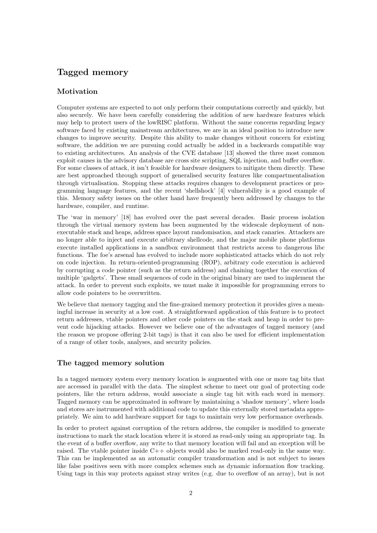# Tagged memory

#### Motivation

Computer systems are expected to not only perform their computations correctly and quickly, but also securely. We have been carefully considering the addition of new hardware features which may help to protect users of the lowRISC platform. Without the same concerns regarding legacy software faced by existing mainstream architectures, we are in an ideal position to introduce new changes to improve security. Despite this ability to make changes without concern for existing software, the addition we are pursuing could actually be added in a backwards compatible way to existing architectures. An analysis of the CVE database [13] showed the three most common exploit causes in the advisory database are cross site scripting, SQL injection, and buffer overflow. For some classes of attack, it isn't feasible for hardware designers to mitigate them directly. These are best approached through support of generalised security features like compartmentalisation through virtualisation. Stopping these attacks requires changes to development practices or programming language features, and the recent 'shellshock' [4] vulnerability is a good example of this. Memory safety issues on the other hand have frequently been addressed by changes to the hardware, compiler, and runtime.

The 'war in memory' [18] has evolved over the past several decades. Basic process isolation through the virtual memory system has been augmented by the widescale deployment of nonexecutable stack and heaps, address space layout randomisation, and stack canaries. Attackers are no longer able to inject and execute arbitrary shellcode, and the major mobile phone platforms execute installed applications in a sandbox environment that restricts access to dangerous libc functions. The foe's arsenal has evolved to include more sophisticated attacks which do not rely on code injection. In return-oriented-programming (ROP), arbitrary code execution is achieved by corrupting a code pointer (such as the return address) and chaining together the execution of multiple 'gadgets'. These small sequences of code in the original binary are used to implement the attack. In order to prevent such exploits, we must make it impossible for programming errors to allow code pointers to be overwritten.

We believe that memory tagging and the fine-grained memory protection it provides gives a meaningful increase in security at a low cost. A straightforward application of this feature is to protect return addresses, vtable pointers and other code pointers on the stack and heap in order to prevent code hijacking attacks. However we believe one of the advantages of tagged memory (and the reason we propose offering 2-bit tags) is that it can also be used for efficient implementation of a range of other tools, analyses, and security policies.

#### The tagged memory solution

In a tagged memory system every memory location is augmented with one or more tag bits that are accessed in parallel with the data. The simplest scheme to meet our goal of protecting code pointers, like the return address, would associate a single tag bit with each word in memory. Tagged memory can be approximated in software by maintaining a 'shadow memory', where loads and stores are instrumented with additional code to update this externally stored metadata appropriately. We aim to add hardware support for tags to maintain very low performance overheads.

In order to protect against corruption of the return address, the compiler is modified to generate instructions to mark the stack location where it is stored as read-only using an appropriate tag. In the event of a buffer overflow, any write to that memory location will fail and an exception will be raised. The vtable pointer inside  $C++$  objects would also be marked read-only in the same way. This can be implemented as an automatic compiler transformation and is not subject to issues like false positives seen with more complex schemes such as dynamic information flow tracking. Using tags in this way protects against stray writes (e.g. due to overflow of an array), but is not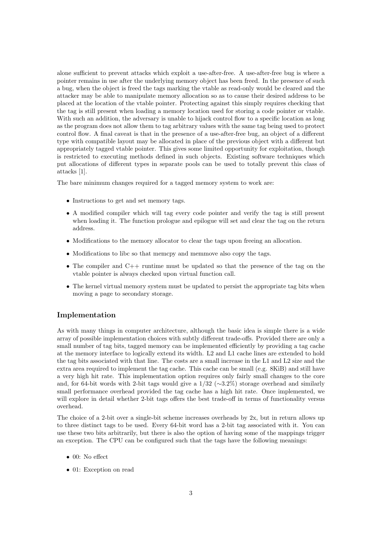alone sufficient to prevent attacks which exploit a use-after-free. A use-after-free bug is where a pointer remains in use after the underlying memory object has been freed. In the presence of such a bug, when the object is freed the tags marking the vtable as read-only would be cleared and the attacker may be able to manipulate memory allocation so as to cause their desired address to be placed at the location of the vtable pointer. Protecting against this simply requires checking that the tag is still present when loading a memory location used for storing a code pointer or vtable. With such an addition, the adversary is unable to hijack control flow to a specific location as long as the program does not allow them to tag arbitrary values with the same tag being used to protect control flow. A final caveat is that in the presence of a use-after-free bug, an object of a different type with compatible layout may be allocated in place of the previous object with a different but appropriately tagged vtable pointer. This gives some limited opportunity for exploitation, though is restricted to executing methods defined in such objects. Existing software techniques which put allocations of different types in separate pools can be used to totally prevent this class of attacks [1].

The bare minimum changes required for a tagged memory system to work are:

- Instructions to get and set memory tags.
- A modified compiler which will tag every code pointer and verify the tag is still present when loading it. The function prologue and epilogue will set and clear the tag on the return address.
- Modifications to the memory allocator to clear the tags upon freeing an allocation.
- Modifications to libc so that memcpy and memmove also copy the tags.
- The compiler and C++ runtime must be updated so that the presence of the tag on the vtable pointer is always checked upon virtual function call.
- The kernel virtual memory system must be updated to persist the appropriate tag bits when moving a page to secondary storage.

#### Implementation

As with many things in computer architecture, although the basic idea is simple there is a wide array of possible implementation choices with subtly different trade-offs. Provided there are only a small number of tag bits, tagged memory can be implemented efficiently by providing a tag cache at the memory interface to logically extend its width. L2 and L1 cache lines are extended to hold the tag bits associated with that line. The costs are a small increase in the L1 and L2 size and the extra area required to implement the tag cache. This cache can be small (e.g. 8KiB) and still have a very high hit rate. This implementation option requires only fairly small changes to the core and, for 64-bit words with 2-bit tags would give a  $1/32 \approx 3.2\%$  storage overhead and similarly small performance overhead provided the tag cache has a high hit rate. Once implemented, we will explore in detail whether 2-bit tags offers the best trade-off in terms of functionality versus overhead.

The choice of a 2-bit over a single-bit scheme increases overheads by 2x, but in return allows up to three distinct tags to be used. Every 64-bit word has a 2-bit tag associated with it. You can use these two bits arbitrarily, but there is also the option of having some of the mappings trigger an exception. The CPU can be configured such that the tags have the following meanings:

- $\bullet$  00: No effect
- 01: Exception on read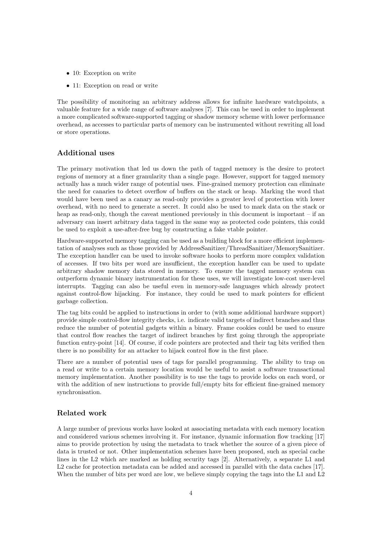- 10: Exception on write
- 11: Exception on read or write

The possibility of monitoring an arbitrary address allows for infinite hardware watchpoints, a valuable feature for a wide range of software analyses [7]. This can be used in order to implement a more complicated software-supported tagging or shadow memory scheme with lower performance overhead, as accesses to particular parts of memory can be instrumented without rewriting all load or store operations.

#### Additional uses

The primary motivation that led us down the path of tagged memory is the desire to protect regions of memory at a finer granularity than a single page. However, support for tagged memory actually has a much wider range of potential uses. Fine-grained memory protection can eliminate the need for canaries to detect overflow of buffers on the stack or heap. Marking the word that would have been used as a canary as read-only provides a greater level of protection with lower overhead, with no need to generate a secret. It could also be used to mark data on the stack or heap as read-only, though the caveat mentioned previously in this document is important – if an adversary can insert arbitrary data tagged in the same way as protected code pointers, this could be used to exploit a use-after-free bug by constructing a fake vtable pointer.

Hardware-supported memory tagging can be used as a building block for a more efficient implementation of analyses such as those provided by AddressSanitizer/ThreadSanitizer/MemorySanitizer. The exception handler can be used to invoke software hooks to perform more complex validation of accesses. If two bits per word are insufficient, the exception handler can be used to update arbitrary shadow memory data stored in memory. To ensure the tagged memory system can outperform dynamic binary instrumentation for these uses, we will investigate low-cost user-level interrupts. Tagging can also be useful even in memory-safe languages which already protect against control-flow hijacking. For instance, they could be used to mark pointers for efficient garbage collection.

The tag bits could be applied to instructions in order to (with some additional hardware support) provide simple control-flow integrity checks, i.e. indicate valid targets of indirect branches and thus reduce the number of potential gadgets within a binary. Frame cookies could be used to ensure that control flow reaches the target of indirect branches by first going through the appropriate function entry-point [14]. Of course, if code pointers are protected and their tag bits verified then there is no possibility for an attacker to hijack control flow in the first place.

There are a number of potential uses of tags for parallel programming. The ability to trap on a read or write to a certain memory location would be useful to assist a software transactional memory implementation. Another possibility is to use the tags to provide locks on each word, or with the addition of new instructions to provide full/empty bits for efficient fine-grained memory synchronisation.

#### Related work

A large number of previous works have looked at associating metadata with each memory location and considered various schemes involving it. For instance, dynamic information flow tracking [17] aims to provide protection by using the metadata to track whether the source of a given piece of data is trusted or not. Other implementation schemes have been proposed, such as special cache lines in the L2 which are marked as holding security tags [2]. Alternatively, a separate L1 and L2 cache for protection metadata can be added and accessed in parallel with the data caches [17]. When the number of bits per word are low, we believe simply copying the tags into the L1 and L2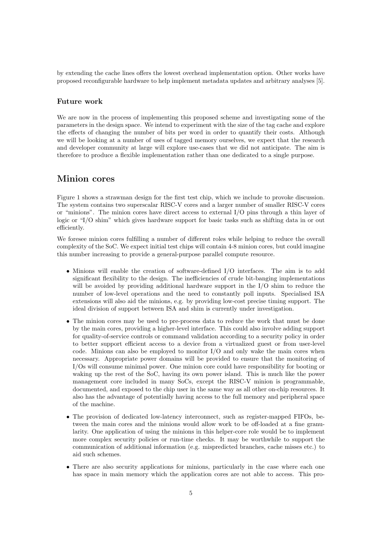by extending the cache lines offers the lowest overhead implementation option. Other works have proposed reconfigurable hardware to help implement metadata updates and arbitrary analyses [5].

#### Future work

We are now in the process of implementing this proposed scheme and investigating some of the parameters in the design space. We intend to experiment with the size of the tag cache and explore the effects of changing the number of bits per word in order to quantify their costs. Although we will be looking at a number of uses of tagged memory ourselves, we expect that the research and developer community at large will explore use-cases that we did not anticipate. The aim is therefore to produce a flexible implementation rather than one dedicated to a single purpose.

### Minion cores

Figure 1 shows a strawman design for the first test chip, which we include to provoke discussion. The system contains two superscalar RISC-V cores and a larger number of smaller RISC-V cores or "minions". The minion cores have direct access to external I/O pins through a thin layer of logic or "I/O shim" which gives hardware support for basic tasks such as shifting data in or out efficiently.

We foresee minion cores fulfilling a number of different roles while helping to reduce the overall complexity of the SoC. We expect initial test chips will contain 4-8 minion cores, but could imagine this number increasing to provide a general-purpose parallel compute resource.

- Minions will enable the creation of software-defined I/O interfaces. The aim is to add significant flexibility to the design. The inefficiencies of crude bit-banging implementations will be avoided by providing additional hardware support in the I/O shim to reduce the number of low-level operations and the need to constantly poll inputs. Specialised ISA extensions will also aid the minions, e.g. by providing low-cost precise timing support. The ideal division of support between ISA and shim is currently under investigation.
- The minion cores may be used to pre-process data to reduce the work that must be done by the main cores, providing a higher-level interface. This could also involve adding support for quality-of-service controls or command validation according to a security policy in order to better support efficient access to a device from a virtualized guest or from user-level code. Minions can also be employed to monitor  $I/O$  and only wake the main cores when necessary. Appropriate power domains will be provided to ensure that the monitoring of I/Os will consume minimal power. One minion core could have responsibility for booting or waking up the rest of the SoC, having its own power island. This is much like the power management core included in many SoCs, except the RISC-V minion is programmable, documented, and exposed to the chip user in the same way as all other on-chip resources. It also has the advantage of potentially having access to the full memory and peripheral space of the machine.
- The provision of dedicated low-latency interconnect, such as register-mapped FIFOs, between the main cores and the minions would allow work to be off-loaded at a fine granularity. One application of using the minions in this helper-core role would be to implement more complex security policies or run-time checks. It may be worthwhile to support the communication of additional information (e.g. mispredicted branches, cache misses etc.) to aid such schemes.
- There are also security applications for minions, particularly in the case where each one has space in main memory which the application cores are not able to access. This pro-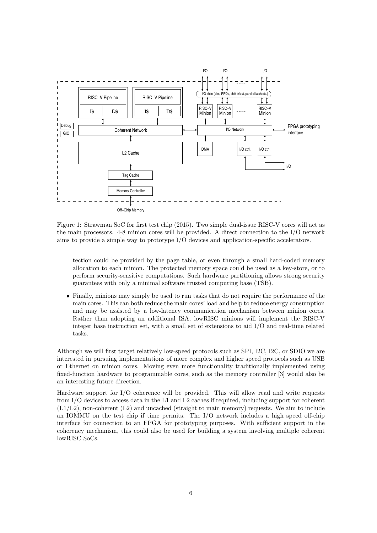

Figure 1: Strawman SoC for first test chip (2015). Two simple dual-issue RISC-V cores will act as the main processors. 4-8 minion cores will be provided. A direct connection to the I/O network aims to provide a simple way to prototype I/O devices and application-specific accelerators.

tection could be provided by the page table, or even through a small hard-coded memory allocation to each minion. The protected memory space could be used as a key-store, or to perform security-sensitive computations. Such hardware partitioning allows strong security guarantees with only a minimal software trusted computing base (TSB).

• Finally, minions may simply be used to run tasks that do not require the performance of the main cores. This can both reduce the main cores' load and help to reduce energy consumption and may be assisted by a low-latency communication mechanism between minion cores. Rather than adopting an additional ISA, lowRISC minions will implement the RISC-V integer base instruction set, with a small set of extensions to aid I/O and real-time related tasks.

Although we will first target relatively low-speed protocols such as SPI, I2C, I2C, or SDIO we are interested in pursuing implementations of more complex and higher speed protocols such as USB or Ethernet on minion cores. Moving even more functionality traditionally implemented using fixed-function hardware to programmable cores, such as the memory controller [3] would also be an interesting future direction.

Hardware support for I/O coherence will be provided. This will allow read and write requests from I/O devices to access data in the L1 and L2 caches if required, including support for coherent  $(L1/L2)$ , non-coherent  $(L2)$  and uncached (straight to main memory) requests. We aim to include an IOMMU on the test chip if time permits. The I/O network includes a high speed off-chip interface for connection to an FPGA for prototyping purposes. With sufficient support in the coherency mechanism, this could also be used for building a system involving multiple coherent lowRISC SoCs.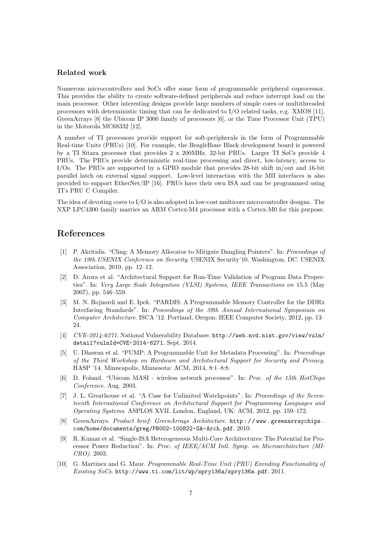#### Related work

Numerous microcontrollers and SoCs offer some form of programmable peripheral coprocessor. This provides the ability to create software-defined peripherals and reduce interrupt load on the main processor. Other interesting designs provide large numbers of simple cores or multithreaded processors with deterministic timing that can be dedicated to I/O related tasks, e.g. XMOS [11], GreenArrays [8] the Ubicom IP 3000 family of processors [6], or the Time Processor Unit (TPU) in the Motorola MC68332 [12].

A number of TI processors provide support for soft-peripherals in the form of Programmable Real-time Units (PRUs) [10]. For example, the BeagleBone Black development board is powered by a TI Sitara processor that provides 2 x 200MHz, 32-bit PRUs. Larger TI SoCs provide 4 PRUs. The PRUs provide deterministic real-time processing and direct, low-latency, access to I/Os. The PRUs are supported by a GPIO module that provides 28-bit shift in/out and 16-bit parallel latch on external signal support. Low-level interaction with the MII interfaces is also provided to support EtherNet/IP [16]. PRUs have their own ISA and can be programmed using TI's PRU C Compiler.

The idea of devoting cores to I/O is also adopted in low-cost multicore microcontroller designs. The NXP LPC4300 family marries an ARM Cortex-M4 processor with a Cortex-M0 for this purpose.

#### References

- [1] P. Akritidis. "Cling: A Memory Allocator to Mitigate Dangling Pointers". In: Proceedings of the 19th USENIX Conference on Security. USENIX Security'10. Washington, DC: USENIX Association, 2010, pp. 12–12.
- [2] D. Arora et al. "Architectural Support for Run-Time Validation of Program Data Properties". In: Very Large Scale Integration (VLSI) Systems, IEEE Transactions on 15.5 (May 2007), pp. 546–559.
- [3] M. N. Bojnordi and E. Ipek. "PARDIS: A Programmable Memory Controller for the DDRx Interfacing Standards". In: Proceedings of the 39th Annual International Symposium on Computer Architecture. ISCA '12. Portland, Oregon: IEEE Computer Society, 2012, pp. 13– 24.
- [4] CVE-2014-6271. National Vulnerability Database. http://web.nvd.nist.gov/view/vuln/ detail?vulnId=CVE-2014-6271. Sept. 2014.
- [5] U. Dhawan et al. "PUMP: A Programmable Unit for Metadata Processing". In: Proceedings of the Third Workshop on Hardware and Architectural Support for Security and Privacy. HASP '14. Minneapolis, Minnesota: ACM, 2014, 8:1–8:8.
- [6] D. Foland. "Ubicom MASI wireless network processor". In: Proc. of the 15th HotChips Conference. Aug. 2003.
- [7] J. L. Greathouse et al. "A Case for Unlimited Watchpoints". In: Proceedings of the Seventeenth International Conference on Architectural Support for Programming Languages and Operating Systems. ASPLOS XVII. London, England, UK: ACM, 2012, pp. 159–172.
- GreenArrays. Product brief: GreenArrays Architecture. http://www.greenarraychips. com/home/documents/greg/PB002-100822-GA-Arch.pdf. 2010.
- [9] R. Kumar et al. "Single-ISA Heterogeneous Multi-Core Architectures: The Potential for Processor Power Reduction". In: Proc. of IEEE/ACM Intl. Symp. on Microarchitecture (MI-CRO). 2003.
- [10] G. Martinez and G. Maur. Programmable Real-Time Unit (PRU) Exending Functionality of Existing SoCs. http://www.ti.com/lit/wp/spry136a/spry136a.pdf. 2011.